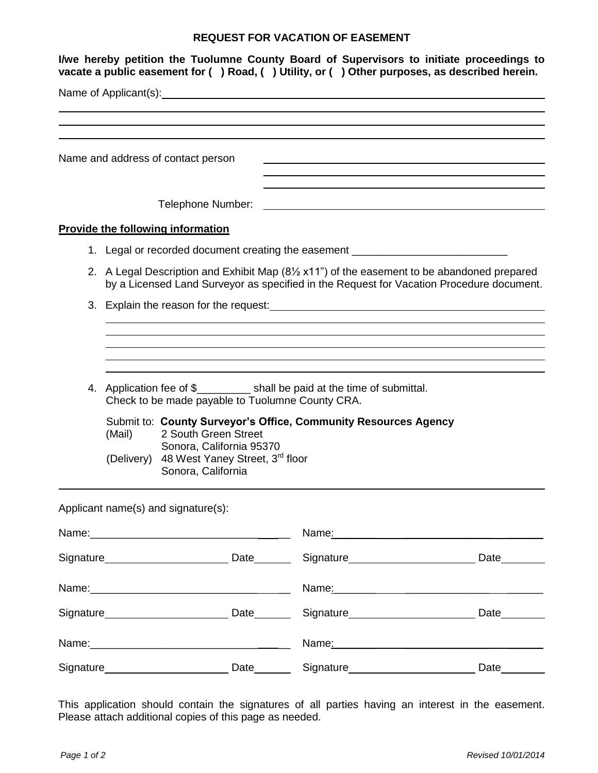## **REQUEST FOR VACATION OF EASEMENT**

| I/we hereby petition the Tuolumne County Board of Supervisors to initiate proceedings to<br>vacate a public easement for () Road, () Utility, or () Other purposes, as described herein. |                                                                                                                                                                                                        |                                                                   |                                                                                                                                                                                                                                      |                                                                                                                                                                                                                                       |  |  |  |
|------------------------------------------------------------------------------------------------------------------------------------------------------------------------------------------|--------------------------------------------------------------------------------------------------------------------------------------------------------------------------------------------------------|-------------------------------------------------------------------|--------------------------------------------------------------------------------------------------------------------------------------------------------------------------------------------------------------------------------------|---------------------------------------------------------------------------------------------------------------------------------------------------------------------------------------------------------------------------------------|--|--|--|
|                                                                                                                                                                                          |                                                                                                                                                                                                        |                                                                   | Name of Applicant(s): <u>contained a set of the set of the set of the set of the set of the set of the set of the set of the set of the set of the set of the set of the set of the set of the set of the set of the set of the </u> |                                                                                                                                                                                                                                       |  |  |  |
|                                                                                                                                                                                          |                                                                                                                                                                                                        |                                                                   |                                                                                                                                                                                                                                      |                                                                                                                                                                                                                                       |  |  |  |
|                                                                                                                                                                                          | Name and address of contact person                                                                                                                                                                     |                                                                   |                                                                                                                                                                                                                                      |                                                                                                                                                                                                                                       |  |  |  |
|                                                                                                                                                                                          |                                                                                                                                                                                                        |                                                                   |                                                                                                                                                                                                                                      |                                                                                                                                                                                                                                       |  |  |  |
|                                                                                                                                                                                          |                                                                                                                                                                                                        | Telephone Number:                                                 | <u> 1980 - Johann Barbara, martxa a shekara tsa 1980 - An tsa 1980 - An tsa 1980 - An tsa 1980 - An tsa 1980 - A</u>                                                                                                                 |                                                                                                                                                                                                                                       |  |  |  |
|                                                                                                                                                                                          | <b>Provide the following information</b>                                                                                                                                                               |                                                                   |                                                                                                                                                                                                                                      |                                                                                                                                                                                                                                       |  |  |  |
|                                                                                                                                                                                          |                                                                                                                                                                                                        |                                                                   | 1. Legal or recorded document creating the easement ____________________________                                                                                                                                                     |                                                                                                                                                                                                                                       |  |  |  |
|                                                                                                                                                                                          | 2. A Legal Description and Exhibit Map $(8\frac{1}{2} \times 11)$ of the easement to be abandoned prepared<br>by a Licensed Land Surveyor as specified in the Request for Vacation Procedure document. |                                                                   |                                                                                                                                                                                                                                      |                                                                                                                                                                                                                                       |  |  |  |
|                                                                                                                                                                                          |                                                                                                                                                                                                        |                                                                   | 3. Explain the reason for the request: example and a set of the result of the set of the set of the set of the set of the set of the set of the set of the set of the set of the set of the set of the set of the set of the s       |                                                                                                                                                                                                                                       |  |  |  |
|                                                                                                                                                                                          |                                                                                                                                                                                                        |                                                                   |                                                                                                                                                                                                                                      |                                                                                                                                                                                                                                       |  |  |  |
|                                                                                                                                                                                          |                                                                                                                                                                                                        |                                                                   |                                                                                                                                                                                                                                      |                                                                                                                                                                                                                                       |  |  |  |
|                                                                                                                                                                                          |                                                                                                                                                                                                        | Check to be made payable to Tuolumne County CRA.                  | 4. Application fee of \$___________ shall be paid at the time of submittal.                                                                                                                                                          |                                                                                                                                                                                                                                       |  |  |  |
|                                                                                                                                                                                          | (Mail)                                                                                                                                                                                                 | 2 South Green Street<br>Sonora, California 95370                  | Submit to: County Surveyor's Office, Community Resources Agency                                                                                                                                                                      |                                                                                                                                                                                                                                       |  |  |  |
|                                                                                                                                                                                          | (Delivery)                                                                                                                                                                                             | 48 West Yaney Street, 3 <sup>rd</sup> floor<br>Sonora, California |                                                                                                                                                                                                                                      |                                                                                                                                                                                                                                       |  |  |  |
|                                                                                                                                                                                          | Applicant name(s) and signature(s):                                                                                                                                                                    |                                                                   |                                                                                                                                                                                                                                      |                                                                                                                                                                                                                                       |  |  |  |
|                                                                                                                                                                                          |                                                                                                                                                                                                        |                                                                   |                                                                                                                                                                                                                                      | Name: 2008. 2009. 2009. 2009. 2009. 2012. 2013. 2014. 2014. 2015. 2016. 2017. 2018. 2019. 2019. 2014. 2016. 20                                                                                                                        |  |  |  |
|                                                                                                                                                                                          |                                                                                                                                                                                                        |                                                                   |                                                                                                                                                                                                                                      |                                                                                                                                                                                                                                       |  |  |  |
|                                                                                                                                                                                          |                                                                                                                                                                                                        |                                                                   |                                                                                                                                                                                                                                      | Name <u>: 2008 - 2008 - 2008 - 2008 - 2008 - 2008 - 2008 - 2008 - 2008 - 2008 - 2008 - 2008 - 2008 - 2008 - 2008 - 2008 - 2008 - 2008 - 2008 - 2008 - 2008 - 2008 - 2008 - 2008 - 2008 - 2008 - 2008 - 2008 - 2008 - 2008 - 2008 </u> |  |  |  |
|                                                                                                                                                                                          |                                                                                                                                                                                                        |                                                                   |                                                                                                                                                                                                                                      |                                                                                                                                                                                                                                       |  |  |  |
|                                                                                                                                                                                          |                                                                                                                                                                                                        |                                                                   |                                                                                                                                                                                                                                      | Name: 2008. 2009. 2009. 2009. 2009. 2009. 2009. 2009. 2009. 2009. 2009. 2009. 2009. 2009. 2009. 2009. 2009. 20                                                                                                                        |  |  |  |
|                                                                                                                                                                                          |                                                                                                                                                                                                        |                                                                   |                                                                                                                                                                                                                                      | Date________                                                                                                                                                                                                                          |  |  |  |

This application should contain the signatures of all parties having an interest in the easement. Please attach additional copies of this page as needed.